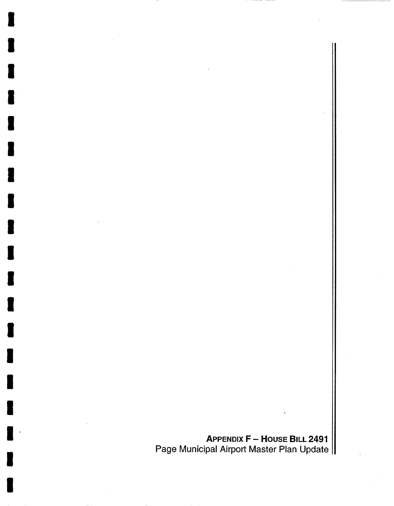**APPENDIX F - HOUSE BILL 2491**  Page Municipal Airport Master Plan Update

I

I

I

I

I

i

I

i

I

I

I

I

I

I

I

I

I

I

I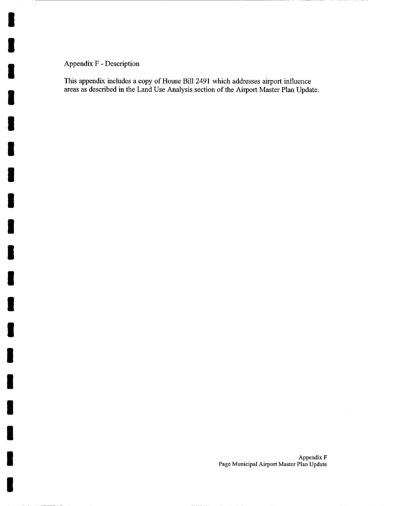## Appendix F - Description

I

I

I

I

I

I

I

I

I

I

I

I

I

I

I

I

I

I

I

This appendix includes a copy of House Bill 2491 which addresses airport influence areas as described in the Land Use Analysis section of the Airport Master Plan Update.

> Appendix F Page Municipal Airport Master Plan Update

 $\bar{\bar{z}}$